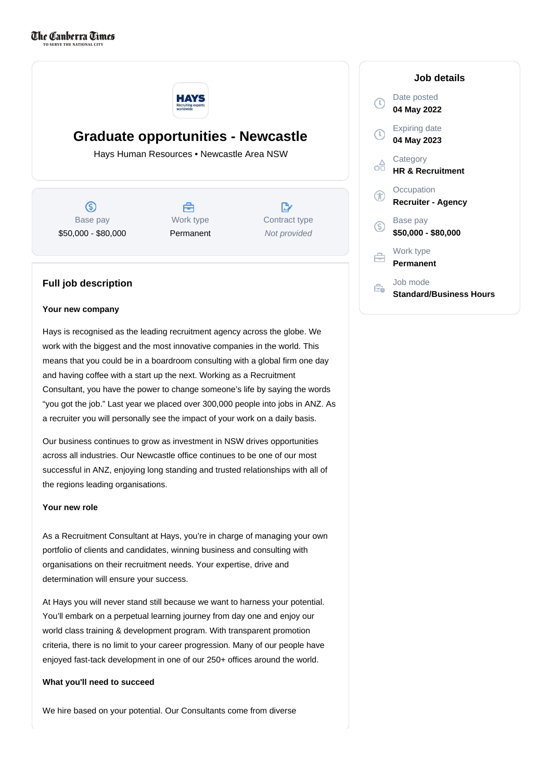

# **Graduate opportunities - Newcastle**

Hays Human Resources • Newcastle Area NSW

 $\circledS$ Base pay \$50,000 - \$80,000

合 Work type Permanent

D. Contract type Not provided

# **Full job description**

### **Your new company**

Hays is recognised as the leading recruitment agency across the globe. We work with the biggest and the most innovative companies in the world. This means that you could be in a boardroom consulting with a global firm one day and having coffee with a start up the next. Working as a Recruitment Consultant, you have the power to change someone's life by saying the words "you got the job." Last year we placed over 300,000 people into jobs in ANZ. As a recruiter you will personally see the impact of your work on a daily basis.

Our business continues to grow as investment in NSW drives opportunities across all industries. Our Newcastle office continues to be one of our most successful in ANZ, enjoying long standing and trusted relationships with all of the regions leading organisations.

# **Your new role**

As a Recruitment Consultant at Hays, you're in charge of managing your own portfolio of clients and candidates, winning business and consulting with organisations on their recruitment needs. Your expertise, drive and determination will ensure your success.

At Hays you will never stand still because we want to harness your potential. You'll embark on a perpetual learning journey from day one and enjoy our world class training & development program. With transparent promotion criteria, there is no limit to your career progression. Many of our people have enjoyed fast-tack development in one of our 250+ offices around the world.

# **What you'll need to succeed**

We hire based on your potential. Our Consultants come from diverse

|              | Job details                                |
|--------------|--------------------------------------------|
| $\mathbb{C}$ | Date posted<br>04 May 2022                 |
| D            | Expiring date<br>04 May 2023               |
| ń            | Category<br><b>HR &amp; Recruitment</b>    |
| Œ            | Occupation<br><b>Recruiter - Agency</b>    |
| S            | Base pay<br>\$50,000 - \$80,000            |
| ⇔            | Work type<br>Permanent                     |
|              | Job mode<br><b>Standard/Business Hours</b> |